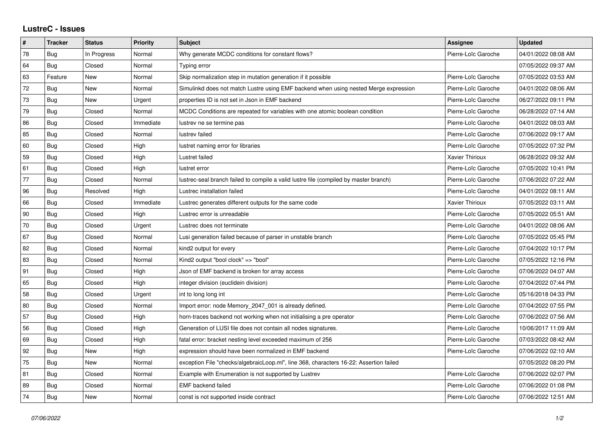## **LustreC - Issues**

| $\sharp$ | <b>Tracker</b> | <b>Status</b> | <b>Priority</b> | <b>Subject</b>                                                                         | Assignee            | <b>Updated</b>      |
|----------|----------------|---------------|-----------------|----------------------------------------------------------------------------------------|---------------------|---------------------|
| 78       | Bug            | In Progress   | Normal          | Why generate MCDC conditions for constant flows?                                       | Pierre-Loïc Garoche | 04/01/2022 08:08 AM |
| 64       | Bug            | Closed        | Normal          | Typing error                                                                           |                     | 07/05/2022 09:37 AM |
| 63       | Feature        | New           | Normal          | Skip normalization step in mutation generation if it possible                          | Pierre-Loïc Garoche | 07/05/2022 03:53 AM |
| 72       | Bug            | New           | Normal          | Simulinkd does not match Lustre using EMF backend when using nested Merge expression   | Pierre-Loïc Garoche | 04/01/2022 08:06 AM |
| 73       | <b>Bug</b>     | <b>New</b>    | Urgent          | properties ID is not set in Json in EMF backend                                        | Pierre-Loïc Garoche | 06/27/2022 09:11 PM |
| 79       | Bug            | Closed        | Normal          | MCDC Conditions are repeated for variables with one atomic boolean condition           | Pierre-Loïc Garoche | 06/28/2022 07:14 AM |
| 86       | Bug            | Closed        | Immediate       | lustrev ne se termine pas                                                              | Pierre-Loïc Garoche | 04/01/2022 08:03 AM |
| 85       | <b>Bug</b>     | Closed        | Normal          | lustrev failed                                                                         | Pierre-Loïc Garoche | 07/06/2022 09:17 AM |
| 60       | Bug            | Closed        | High            | lustret naming error for libraries                                                     | Pierre-Loïc Garoche | 07/05/2022 07:32 PM |
| 59       | Bug            | Closed        | High            | Lustret failed                                                                         | Xavier Thirioux     | 06/28/2022 09:32 AM |
| 61       | <b>Bug</b>     | Closed        | High            | lustret error                                                                          | Pierre-Loïc Garoche | 07/05/2022 10:41 PM |
| 77       | <b>Bug</b>     | Closed        | Normal          | lustrec-seal branch failed to compile a valid lustre file (compiled by master branch)  | Pierre-Loïc Garoche | 07/06/2022 07:22 AM |
| 96       | <b>Bug</b>     | Resolved      | High            | Lustrec installation failed                                                            | Pierre-Loïc Garoche | 04/01/2022 08:11 AM |
| 66       | Bug            | Closed        | Immediate       | Lustrec generates different outputs for the same code                                  | Xavier Thirioux     | 07/05/2022 03:11 AM |
| 90       | <b>Bug</b>     | Closed        | High            | Lustrec error is unreadable                                                            | Pierre-Loïc Garoche | 07/05/2022 05:51 AM |
| 70       | <b>Bug</b>     | Closed        | Urgent          | Lustrec does not terminate                                                             | Pierre-Loïc Garoche | 04/01/2022 08:06 AM |
| 67       | Bug            | Closed        | Normal          | Lusi generation failed because of parser in unstable branch                            | Pierre-Loïc Garoche | 07/05/2022 05:45 PM |
| 82       | <b>Bug</b>     | Closed        | Normal          | kind2 output for every                                                                 | Pierre-Loïc Garoche | 07/04/2022 10:17 PM |
| 83       | Bug            | Closed        | Normal          | Kind2 output "bool clock" => "bool"                                                    | Pierre-Loïc Garoche | 07/05/2022 12:16 PM |
| 91       | Bug            | Closed        | High            | Json of EMF backend is broken for array access                                         | Pierre-Loïc Garoche | 07/06/2022 04:07 AM |
| 65       | <b>Bug</b>     | Closed        | High            | integer division (euclidein division)                                                  | Pierre-Loïc Garoche | 07/04/2022 07:44 PM |
| 58       | Bug            | Closed        | Urgent          | int to long long int                                                                   | Pierre-Loïc Garoche | 05/16/2018 04:33 PM |
| 80       | Bug            | Closed        | Normal          | Import error: node Memory_2047_001 is already defined.                                 | Pierre-Loïc Garoche | 07/04/2022 07:55 PM |
| 57       | Bug            | Closed        | High            | horn-traces backend not working when not initialising a pre operator                   | Pierre-Loïc Garoche | 07/06/2022 07:56 AM |
| 56       | <b>Bug</b>     | Closed        | High            | Generation of LUSI file does not contain all nodes signatures.                         | Pierre-Loïc Garoche | 10/06/2017 11:09 AM |
| 69       | Bug            | Closed        | High            | fatal error: bracket nesting level exceeded maximum of 256                             | Pierre-Loïc Garoche | 07/03/2022 08:42 AM |
| 92       | <b>Bug</b>     | New           | High            | expression should have been normalized in EMF backend                                  | Pierre-Loïc Garoche | 07/06/2022 02:10 AM |
| 75       | <b>Bug</b>     | New           | Normal          | exception File "checks/algebraicLoop.ml", line 368, characters 16-22: Assertion failed |                     | 07/05/2022 08:20 PM |
| 81       | <b>Bug</b>     | Closed        | Normal          | Example with Enumeration is not supported by Lustrev                                   | Pierre-Loïc Garoche | 07/06/2022 02:07 PM |
| 89       | Bug            | Closed        | Normal          | <b>EMF</b> backend failed                                                              | Pierre-Loïc Garoche | 07/06/2022 01:08 PM |
| 74       | Bug            | New           | Normal          | const is not supported inside contract                                                 | Pierre-Loïc Garoche | 07/06/2022 12:51 AM |